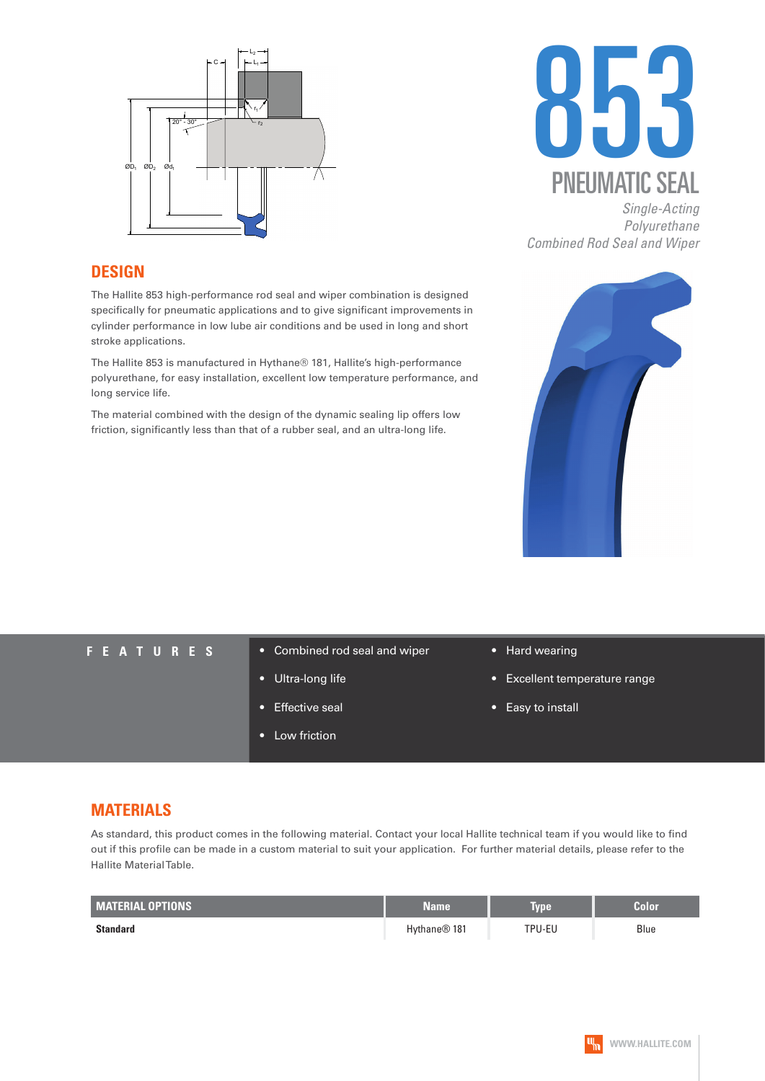



*Single-Acting Polyurethane Combined Rod Seal and Wiper* 

### **DESIGN**

The Hallite 853 high-performance rod seal and wiper combination is designed specifically for pneumatic applications and to give significant improvements in cylinder performance in low lube air conditions and be used in long and short stroke applications.

The Hallite 853 is manufactured in Hythane® 181, Hallite's high-performance polyurethane, for easy installation, excellent low temperature performance, and long service life.

The material combined with the design of the dynamic sealing lip offers low friction, significantly less than that of a rubber seal, and an ultra-long life.



- **FEATURES** Combined rod seal and wiper
	- Ultra-long life
	- Effective seal
	- Low friction
- Hard wearing
- Excellent temperature range
- Easy to install

## **MATERIALS**

As standard, this product comes in the following material. Contact your local Hallite technical team if you would like to find out if this profile can be made in a custom material to suit your application. For further material details, please refer to the Hallite Material Table.

| <b>MATERIAL OPTIONS</b> | <b>Name</b>  | Type <sup>.</sup> | Color |
|-------------------------|--------------|-------------------|-------|
| <b>Standard</b>         | Hythane® 181 | TPU-EU            | Blue  |

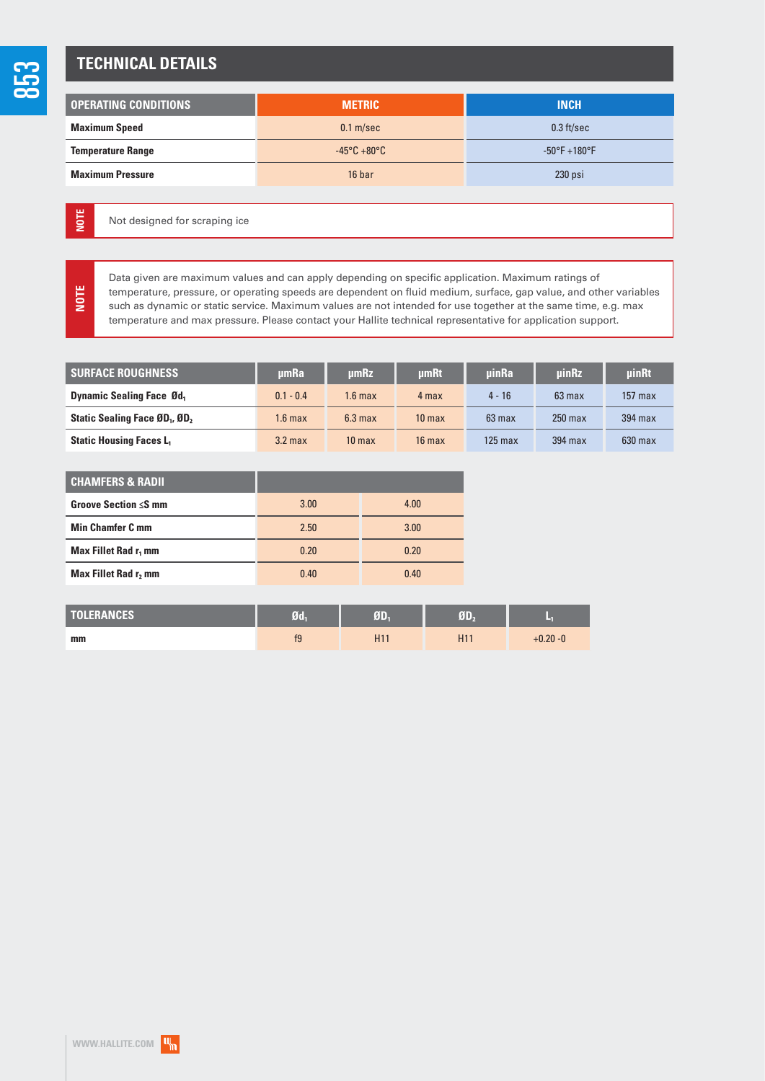**NOTE**

**NOTE**

# **TECHNICAL DETAILS**

| <b>OPERATING CONDITIONS</b> | <b>METRIC</b>                    | <b>INCH</b>            |  |
|-----------------------------|----------------------------------|------------------------|--|
| <b>Maximum Speed</b>        | $0.1$ m/sec                      | $0.3$ ft/sec           |  |
| <b>Temperature Range</b>    | $-45^{\circ}$ C +80 $^{\circ}$ C | $-50^{\circ}$ F +180°F |  |
| <b>Maximum Pressure</b>     | 16 bar                           | $230$ psi              |  |

Not designed for scraping ice

Data given are maximum values and can apply depending on specific application. Maximum ratings of temperature, pressure, or operating speeds are dependent on fluid medium, surface, gap value, and other variables such as dynamic or static service. Maximum values are not intended for use together at the same time, e.g. max temperature and max pressure. Please contact your Hallite technical representative for application support.

| <b>SURFACE ROUGHNESS</b>                              | <b>umRa</b>        | umRz               | umRt              | <b>uinRa</b> | <b>uinRz</b> | <b>uinRt</b> |
|-------------------------------------------------------|--------------------|--------------------|-------------------|--------------|--------------|--------------|
| <b>Dynamic Sealing Face Ød</b> ,                      | $0.1 - 0.4$        | 1.6 max            | 4 max             | $4 - 16$     | $63$ max     | $157$ max    |
| Static Sealing Face ØD <sub>1</sub> , ØD <sub>2</sub> | 1.6 <sub>max</sub> | 6.3 <sub>max</sub> | 10 <sub>max</sub> | $63$ max     | $250$ max    | $394$ max    |
| <b>Static Housing Faces L1</b>                        | $3.2$ max          | 10 <sub>max</sub>  | $16$ max          | 125 max      | 394 max      | $630$ max    |

| <b>CHAMFERS &amp; RADII</b>      |      |      |
|----------------------------------|------|------|
| Groove Section $\leq$ S mm       | 3.00 | 4.00 |
| <b>Min Chamfer C mm</b>          | 2.50 | 3.00 |
| Max Fillet Rad r <sub>1</sub> mm | 0.20 | 0.20 |
| <b>Max Fillet Rad r, mm</b>      | 0.40 | 0.40 |

| <b>TOLERANCES</b> | 71 | ØD              |    | ×           |
|-------------------|----|-----------------|----|-------------|
| mm                | ΙJ | H <sub>11</sub> | H1 | $+0.20 - 0$ |